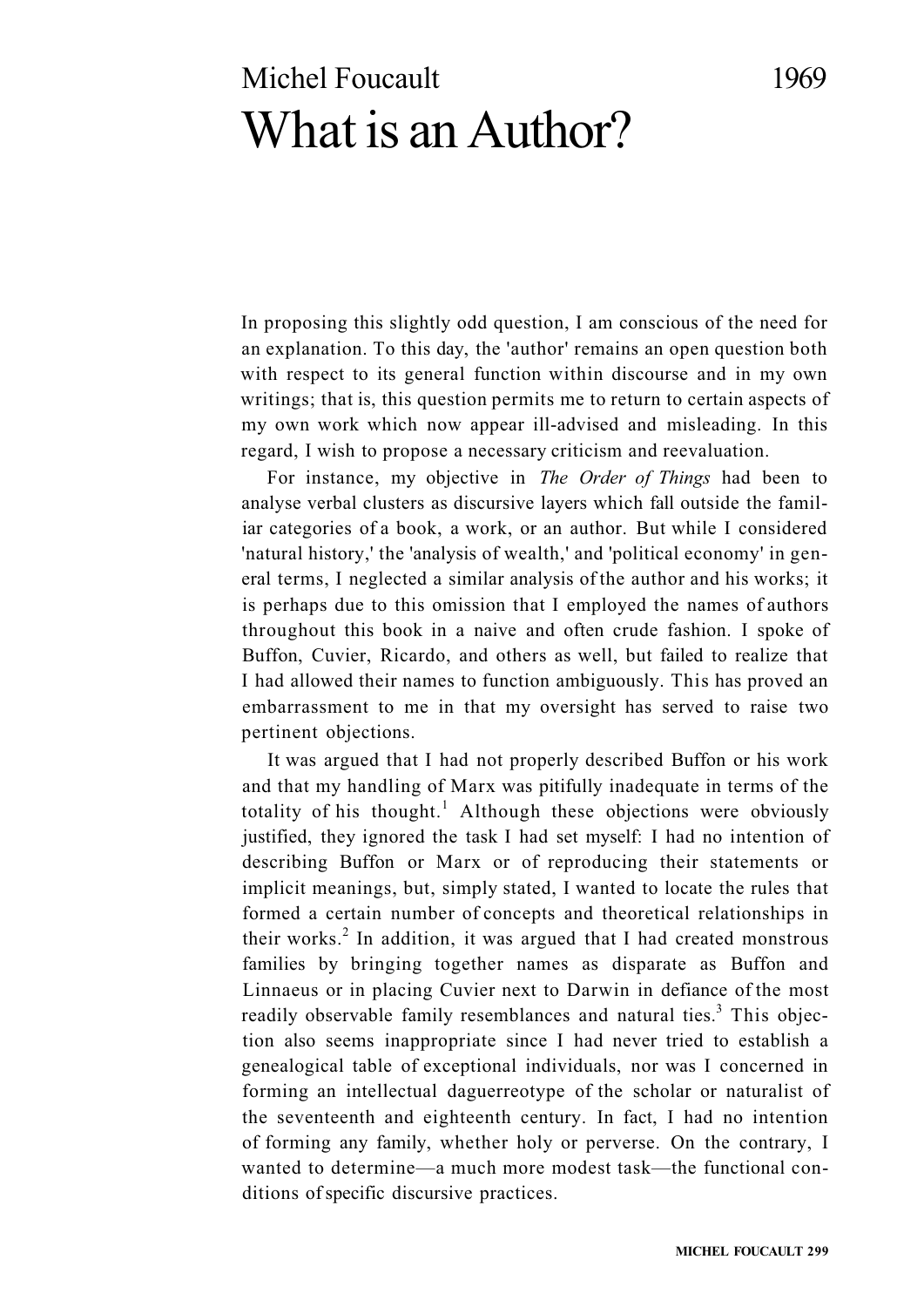## Michel Foucault 1969 What is an Author?

In proposing this slightly odd question, I am conscious of the need for an explanation. To this day, the 'author' remains an open question both with respect to its general function within discourse and in my own writings; that is, this question permits me to return to certain aspects of my own work which now appear ill-advised and misleading. In this regard, I wish to propose a necessary criticism and reevaluation.

For instance, my objective in *The Order of Things* had been to analyse verbal clusters as discursive layers which fall outside the familiar categories of a book, a work, or an author. But while I considered 'natural history,' the 'analysis of wealth,' and 'political economy' in general terms, I neglected a similar analysis of the author and his works; it is perhaps due to this omission that I employed the names of authors throughout this book in a naive and often crude fashion. I spoke of Buffon, Cuvier, Ricardo, and others as well, but failed to realize that I had allowed their names to function ambiguously. This has proved an embarrassment to me in that my oversight has served to raise two pertinent objections.

It was argued that I had not properly described Buffon or his work and that my handling of Marx was pitifully inadequate in terms of the totality of his thought.<sup>1</sup> Although these objections were obviously justified, they ignored the task I had set myself: I had no intention of describing Buffon or Marx or of reproducing their statements or implicit meanings, but, simply stated, I wanted to locate the rules that formed a certain number of concepts and theoretical relationships in their works.<sup>2</sup> In addition, it was argued that I had created monstrous families by bringing together names as disparate as Buffon and Linnaeus or in placing Cuvier next to Darwin in defiance of the most readily observable family resemblances and natural ties.<sup>3</sup> This objection also seems inappropriate since I had never tried to establish a genealogical table of exceptional individuals, nor was I concerned in forming an intellectual daguerreotype of the scholar or naturalist of the seventeenth and eighteenth century. In fact, I had no intention of forming any family, whether holy or perverse. On the contrary, I wanted to determine—a much more modest task—the functional conditions of specific discursive practices.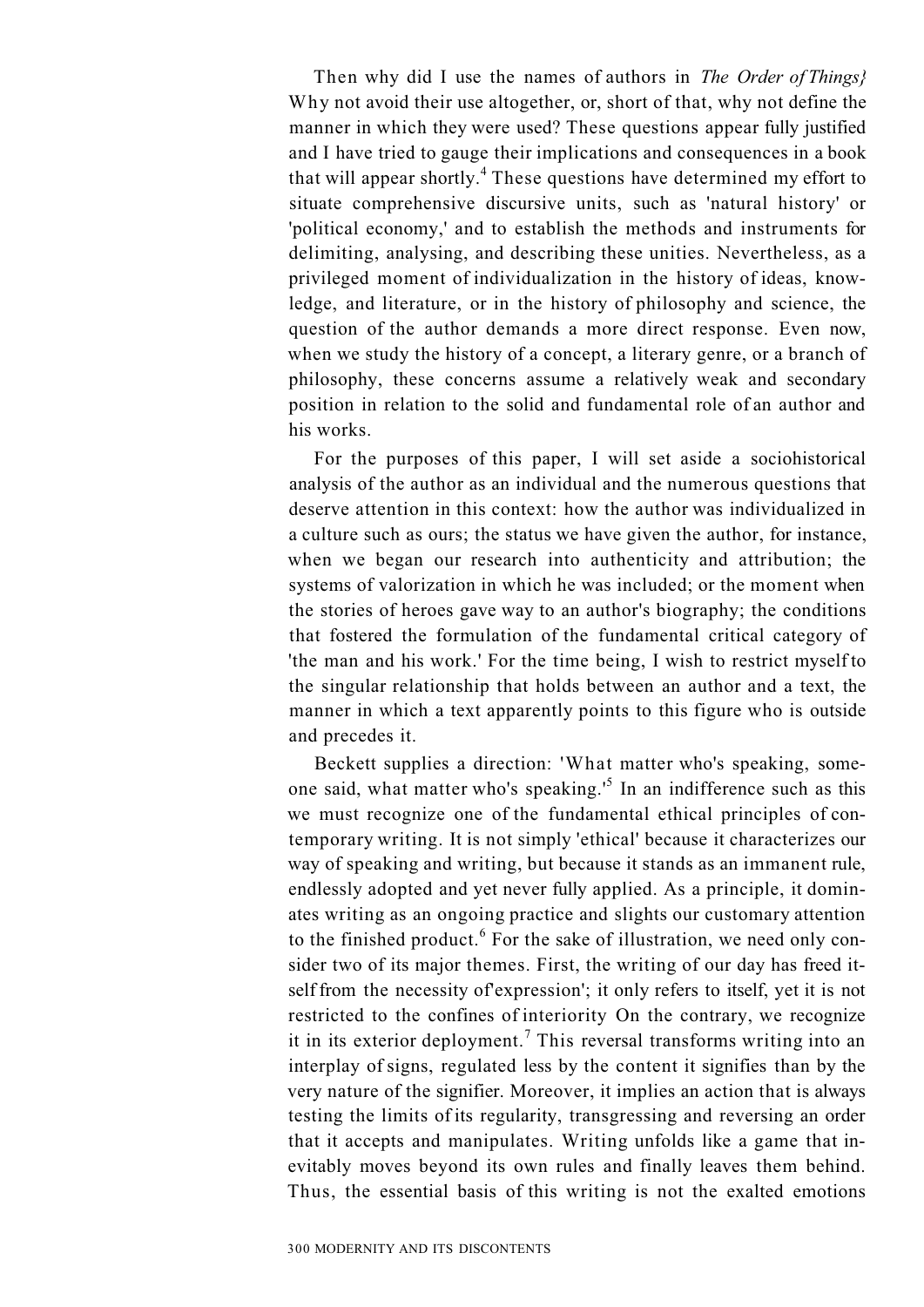Then why did I use the names of authors in *The Order of Things}*  Why not avoid their use altogether, or, short of that, why not define the manner in which they were used? These questions appear fully justified and I have tried to gauge their implications and consequences in a book that will appear shortly.<sup>4</sup> These questions have determined my effort to situate comprehensive discursive units, such as 'natural history' or 'political economy,' and to establish the methods and instruments for delimiting, analysing, and describing these unities. Nevertheless, as a privileged moment of individualization in the history of ideas, knowledge, and literature, or in the history of philosophy and science, the question of the author demands a more direct response. Even now, when we study the history of a concept, a literary genre, or a branch of philosophy, these concerns assume a relatively weak and secondary position in relation to the solid and fundamental role of an author and his works.

For the purposes of this paper, I will set aside a sociohistorical analysis of the author as an individual and the numerous questions that deserve attention in this context: how the author was individualized in a culture such as ours; the status we have given the author, for instance, when we began our research into authenticity and attribution; the systems of valorization in which he was included; or the moment when the stories of heroes gave way to an author's biography; the conditions that fostered the formulation of the fundamental critical category of 'the man and his work.' For the time being, I wish to restrict myself to the singular relationship that holds between an author and a text, the manner in which a text apparently points to this figure who is outside and precedes it.

Beckett supplies a direction: 'What matter who's speaking, someone said, what matter who's speaking.<sup>5</sup> In an indifference such as this we must recognize one of the fundamental ethical principles of contemporary writing. It is not simply 'ethical' because it characterizes our way of speaking and writing, but because it stands as an immanent rule, endlessly adopted and yet never fully applied. As a principle, it dominates writing as an ongoing practice and slights our customary attention to the finished product. <sup>6</sup> For the sake of illustration, we need only consider two of its major themes. First, the writing of our day has freed itself from the necessity of'expression'; it only refers to itself, yet it is not restricted to the confines of interiority On the contrary, we recognize it in its exterior deployment.<sup>7</sup> This reversal transforms writing into an interplay of signs, regulated less by the content it signifies than by the very nature of the signifier. Moreover, it implies an action that is always testing the limits of its regularity, transgressing and reversing an order that it accepts and manipulates. Writing unfolds like a game that inevitably moves beyond its own rules and finally leaves them behind. Thus, the essential basis of this writing is not the exalted emotions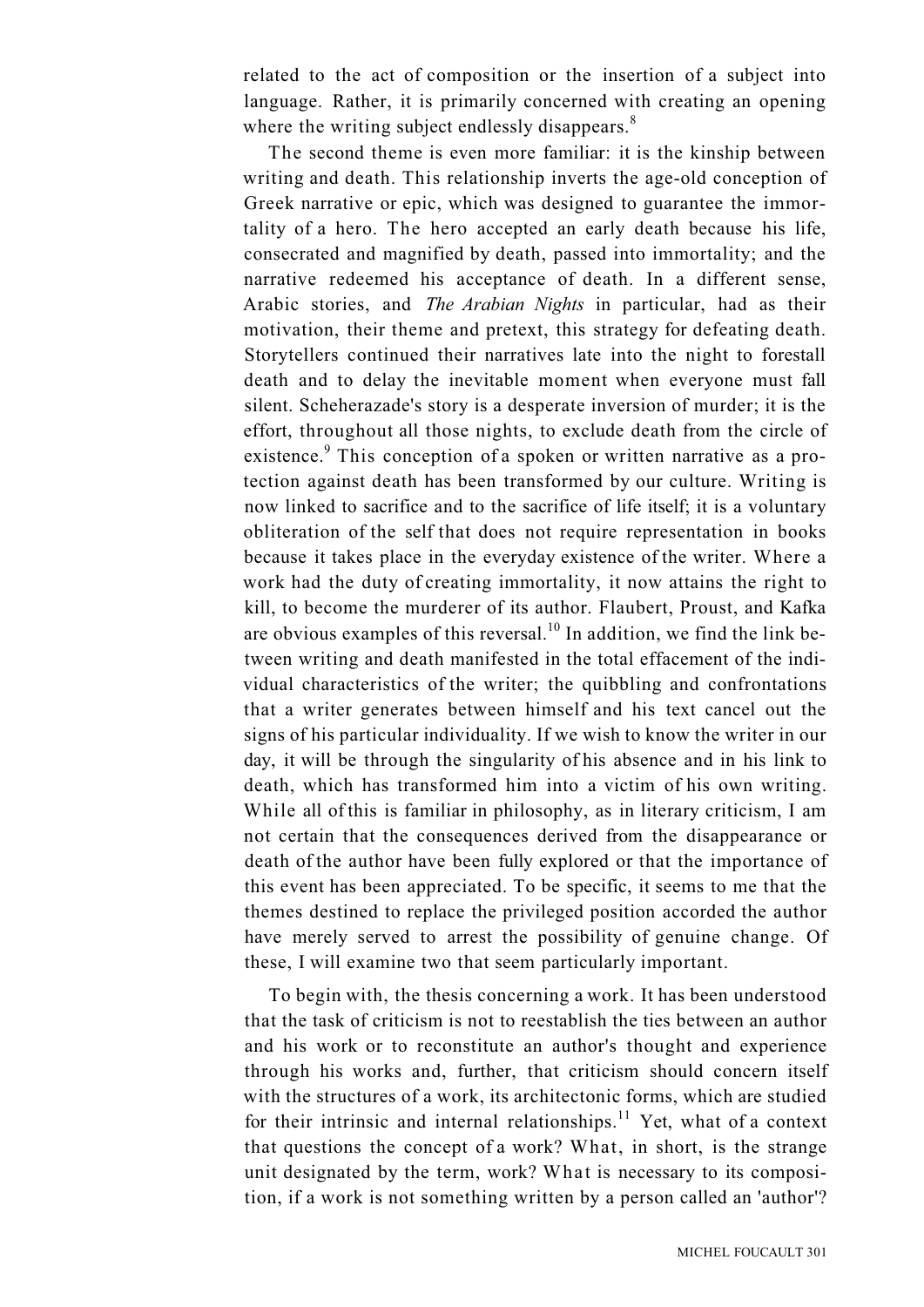related to the act of composition or the insertion of a subject into language. Rather, it is primarily concerned with creating an opening where the writing subject endlessly disappears. $8$ 

The second theme is even more familiar: it is the kinship between writing and death. This relationship inverts the age-old conception of Greek narrative or epic, which was designed to guarantee the immortality of a hero. The hero accepted an early death because his life, consecrated and magnified by death, passed into immortality; and the narrative redeemed his acceptance of death. In a different sense, Arabic stories, and *The Arabian Nights* in particular, had as their motivation, their theme and pretext, this strategy for defeating death. Storytellers continued their narratives late into the night to forestall death and to delay the inevitable moment when everyone must fall silent. Scheherazade's story is a desperate inversion of murder; it is the effort, throughout all those nights, to exclude death from the circle of existence.<sup>9</sup> This conception of a spoken or written narrative as a protection against death has been transformed by our culture. Writing is now linked to sacrifice and to the sacrifice of life itself; it is a voluntary obliteration of the self that does not require representation in books because it takes place in the everyday existence of the writer. Where a work had the duty of creating immortality, it now attains the right to kill, to become the murderer of its author. Flaubert, Proust, and Kafka are obvious examples of this reversal.<sup>10</sup> In addition, we find the link between writing and death manifested in the total effacement of the individual characteristics of the writer; the quibbling and confrontations that a writer generates between himself and his text cancel out the signs of his particular individuality. If we wish to know the writer in our day, it will be through the singularity of his absence and in his link to death, which has transformed him into a victim of his own writing. While all of this is familiar in philosophy, as in literary criticism, I am not certain that the consequences derived from the disappearance or death of the author have been fully explored or that the importance of this event has been appreciated. To be specific, it seems to me that the themes destined to replace the privileged position accorded the author have merely served to arrest the possibility of genuine change. Of these, I will examine two that seem particularly important.

To begin with, the thesis concerning a work. It has been understood that the task of criticism is not to reestablish the ties between an author and his work or to reconstitute an author's thought and experience through his works and, further, that criticism should concern itself with the structures of a work, its architectonic forms, which are studied for their intrinsic and internal relationships.<sup>11</sup> Yet, what of a context that questions the concept of a work? What, in short, is the strange unit designated by the term, work? What is necessary to its composition, if a work is not something written by a person called an 'author'?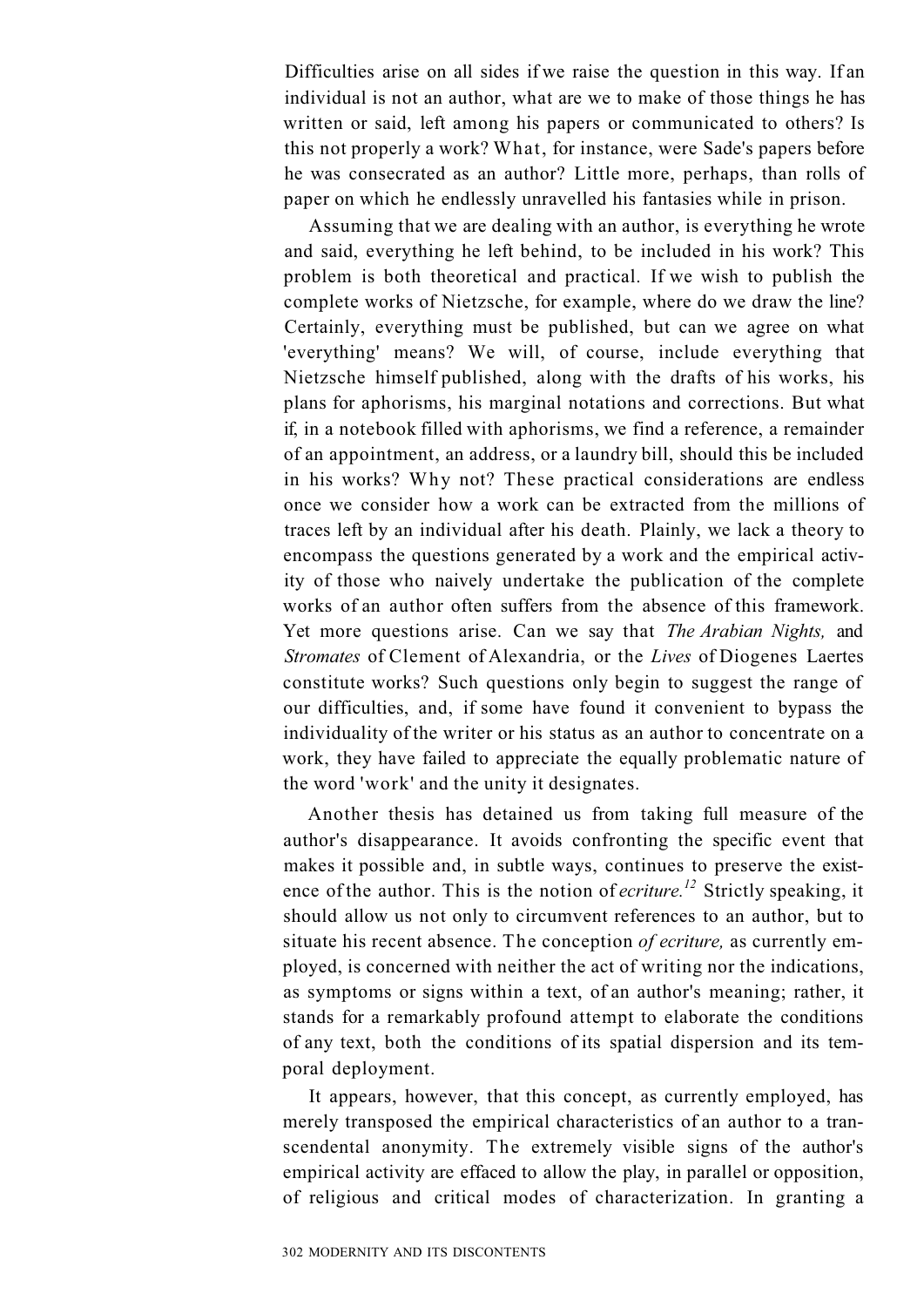Difficulties arise on all sides if we raise the question in this way. If an individual is not an author, what are we to make of those things he has written or said, left among his papers or communicated to others? Is this not properly a work? What, for instance, were Sade's papers before he was consecrated as an author? Little more, perhaps, than rolls of paper on which he endlessly unravelled his fantasies while in prison.

Assuming that we are dealing with an author, is everything he wrote and said, everything he left behind, to be included in his work? This problem is both theoretical and practical. If we wish to publish the complete works of Nietzsche, for example, where do we draw the line? Certainly, everything must be published, but can we agree on what 'everything' means? We will, of course, include everything that Nietzsche himself published, along with the drafts of his works, his plans for aphorisms, his marginal notations and corrections. But what if, in a notebook filled with aphorisms, we find a reference, a remainder of an appointment, an address, or a laundry bill, should this be included in his works? Why not? These practical considerations are endless once we consider how a work can be extracted from the millions of traces left by an individual after his death. Plainly, we lack a theory to encompass the questions generated by a work and the empirical activity of those who naively undertake the publication of the complete works of an author often suffers from the absence of this framework. Yet more questions arise. Can we say that *The Arabian Nights,* and *Stromates* of Clement of Alexandria, or the *Lives* of Diogenes Laertes constitute works? Such questions only begin to suggest the range of our difficulties, and, if some have found it convenient to bypass the individuality of the writer or his status as an author to concentrate on a work, they have failed to appreciate the equally problematic nature of the word 'work' and the unity it designates.

Another thesis has detained us from taking full measure of the author's disappearance. It avoids confronting the specific event that makes it possible and, in subtle ways, continues to preserve the existence of the author. This is the notion of *ecriture.<sup>12</sup>* Strictly speaking, it should allow us not only to circumvent references to an author, but to situate his recent absence. The conception *of ecriture,* as currently employed, is concerned with neither the act of writing nor the indications, as symptoms or signs within a text, of an author's meaning; rather, it stands for a remarkably profound attempt to elaborate the conditions of any text, both the conditions of its spatial dispersion and its temporal deployment.

It appears, however, that this concept, as currently employed, has merely transposed the empirical characteristics of an author to a transcendental anonymity. The extremely visible signs of the author's empirical activity are effaced to allow the play, in parallel or opposition, of religious and critical modes of characterization. In granting a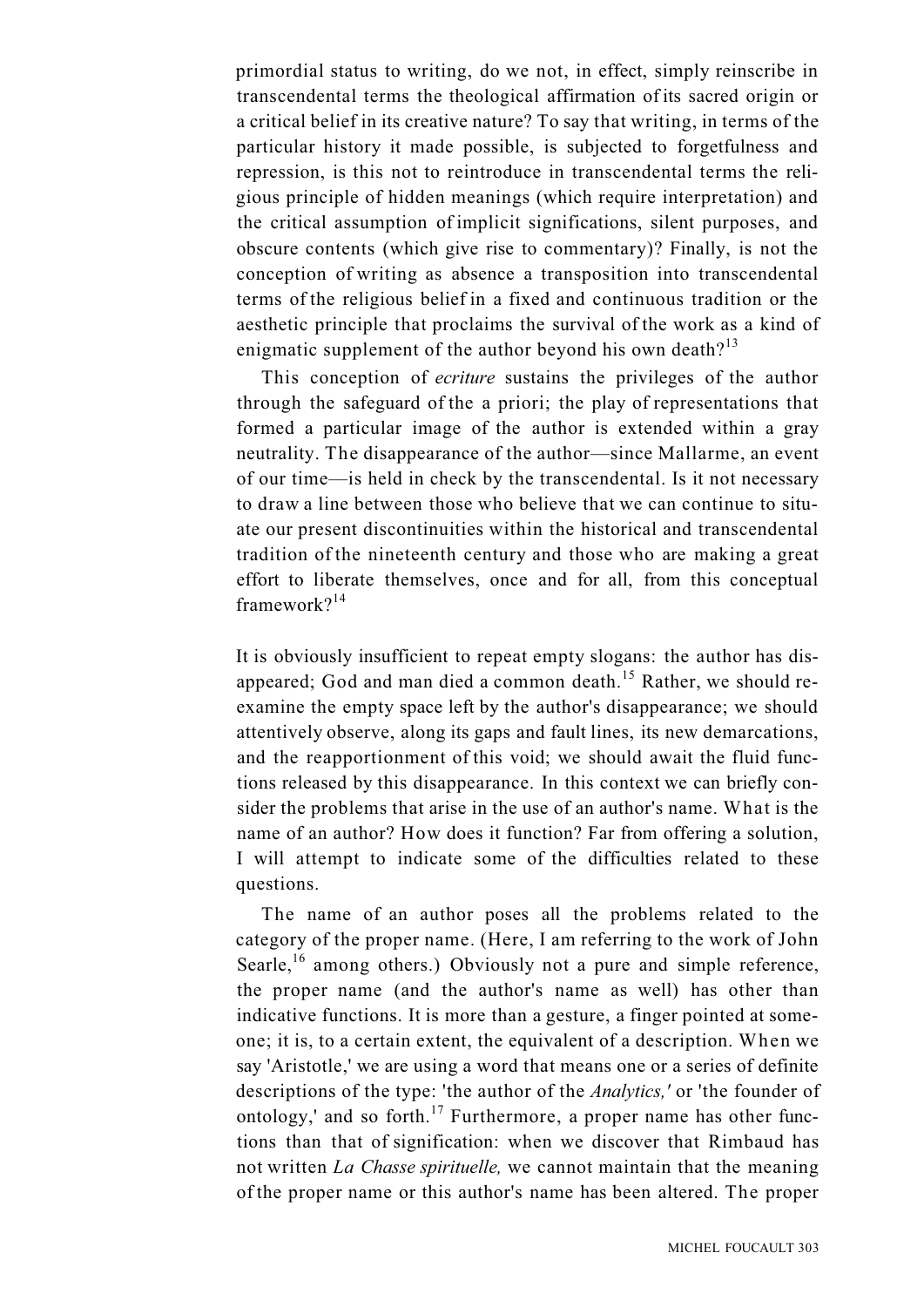primordial status to writing, do we not, in effect, simply reinscribe in transcendental terms the theological affirmation of its sacred origin or a critical belief in its creative nature? To say that writing, in terms of the particular history it made possible, is subjected to forgetfulness and repression, is this not to reintroduce in transcendental terms the religious principle of hidden meanings (which require interpretation) and the critical assumption of implicit significations, silent purposes, and obscure contents (which give rise to commentary)? Finally, is not the conception of writing as absence a transposition into transcendental terms of the religious belief in a fixed and continuous tradition or the aesthetic principle that proclaims the survival of the work as a kind of enigmatic supplement of the author beyond his own death? $13$ 

This conception of *ecriture* sustains the privileges of the author through the safeguard of the a priori; the play of representations that formed a particular image of the author is extended within a gray neutrality. The disappearance of the author—since Mallarme, an event of our time—is held in check by the transcendental. Is it not necessary to draw a line between those who believe that we can continue to situate our present discontinuities within the historical and transcendental tradition of the nineteenth century and those who are making a great effort to liberate themselves, once and for all, from this conceptual framework $2^{14}$ 

It is obviously insufficient to repeat empty slogans: the author has disappeared; God and man died a common death.<sup>15</sup> Rather, we should reexamine the empty space left by the author's disappearance; we should attentively observe, along its gaps and fault lines, its new demarcations, and the reapportionment of this void; we should await the fluid functions released by this disappearance. In this context we can briefly consider the problems that arise in the use of an author's name. What is the name of an author? How does it function? Far from offering a solution, I will attempt to indicate some of the difficulties related to these questions.

The name of an author poses all the problems related to the category of the proper name. (Here, I am referring to the work of John Searle,<sup>16</sup> among others.) Obviously not a pure and simple reference, the proper name (and the author's name as well) has other than indicative functions. It is more than a gesture, a finger pointed at someone; it is, to a certain extent, the equivalent of a description. When we say 'Aristotle,' we are using a word that means one or a series of definite descriptions of the type: 'the author of the *Analytics,'* or 'the founder of ontology,' and so forth.<sup>17</sup> Furthermore, a proper name has other functions than that of signification: when we discover that Rimbaud has not written *La Chasse spirituelle,* we cannot maintain that the meaning of the proper name or this author's name has been altered. The proper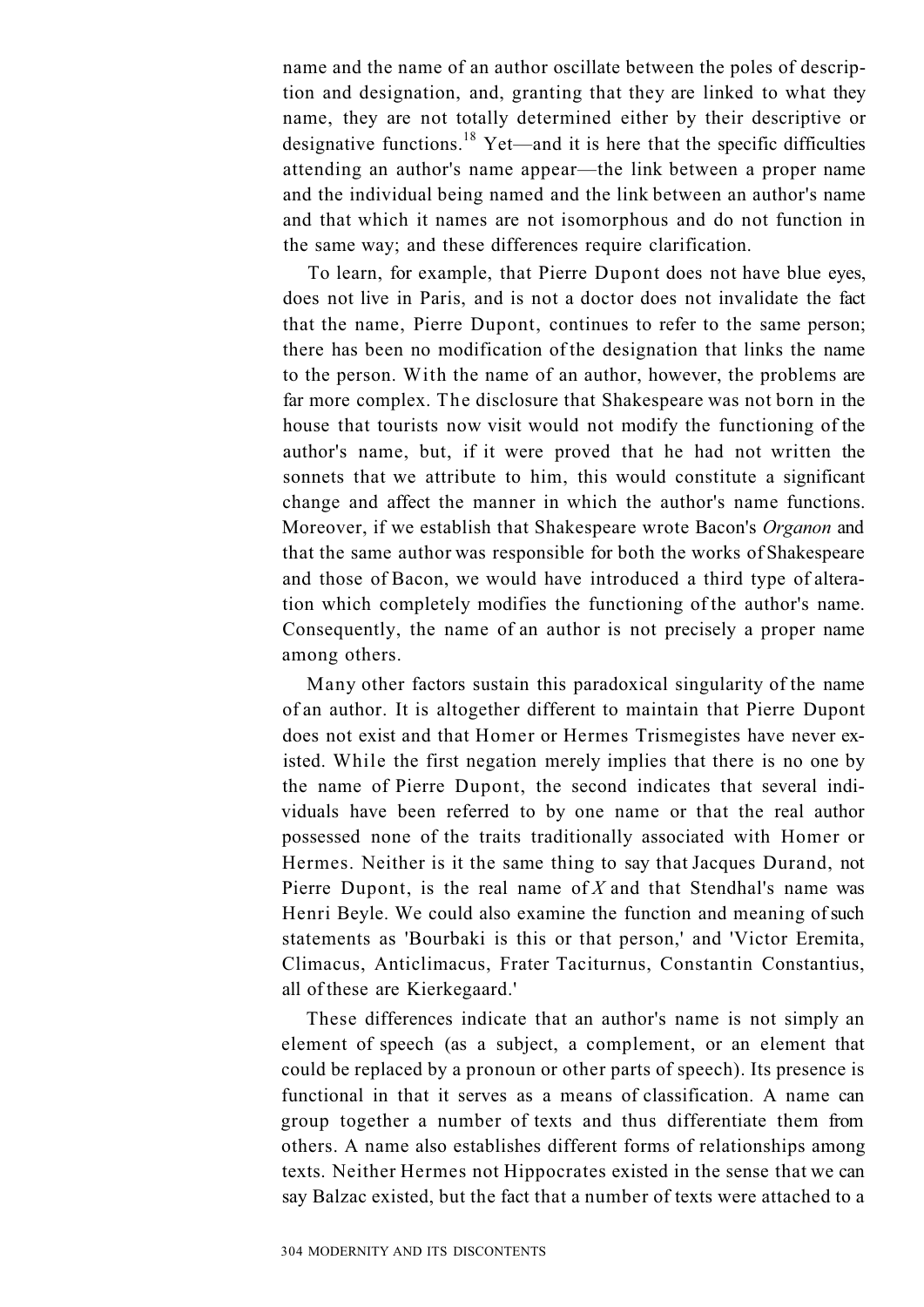name and the name of an author oscillate between the poles of description and designation, and, granting that they are linked to what they name, they are not totally determined either by their descriptive or designative functions.<sup>18</sup> Yet—and it is here that the specific difficulties attending an author's name appear—the link between a proper name and the individual being named and the link between an author's name and that which it names are not isomorphous and do not function in the same way; and these differences require clarification.

To learn, for example, that Pierre Dupont does not have blue eyes, does not live in Paris, and is not a doctor does not invalidate the fact that the name, Pierre Dupont, continues to refer to the same person; there has been no modification of the designation that links the name to the person. With the name of an author, however, the problems are far more complex. The disclosure that Shakespeare was not born in the house that tourists now visit would not modify the functioning of the author's name, but, if it were proved that he had not written the sonnets that we attribute to him, this would constitute a significant change and affect the manner in which the author's name functions. Moreover, if we establish that Shakespeare wrote Bacon's *Organon* and that the same author was responsible for both the works of Shakespeare and those of Bacon, we would have introduced a third type of alteration which completely modifies the functioning of the author's name. Consequently, the name of an author is not precisely a proper name among others.

Many other factors sustain this paradoxical singularity of the name of an author. It is altogether different to maintain that Pierre Dupont does not exist and that Homer or Hermes Trismegistes have never existed. While the first negation merely implies that there is no one by the name of Pierre Dupont, the second indicates that several individuals have been referred to by one name or that the real author possessed none of the traits traditionally associated with Homer or Hermes. Neither is it the same thing to say that Jacques Durand, not Pierre Dupont, is the real name of *X* and that Stendhal's name was Henri Beyle. We could also examine the function and meaning of such statements as 'Bourbaki is this or that person,' and 'Victor Eremita, Climacus, Anticlimacus, Frater Taciturnus, Constantin Constantius, all of these are Kierkegaard.'

These differences indicate that an author's name is not simply an element of speech (as a subject, a complement, or an element that could be replaced by a pronoun or other parts of speech). Its presence is functional in that it serves as a means of classification. A name can group together a number of texts and thus differentiate them from others. A name also establishes different forms of relationships among texts. Neither Hermes not Hippocrates existed in the sense that we can say Balzac existed, but the fact that a number of texts were attached to a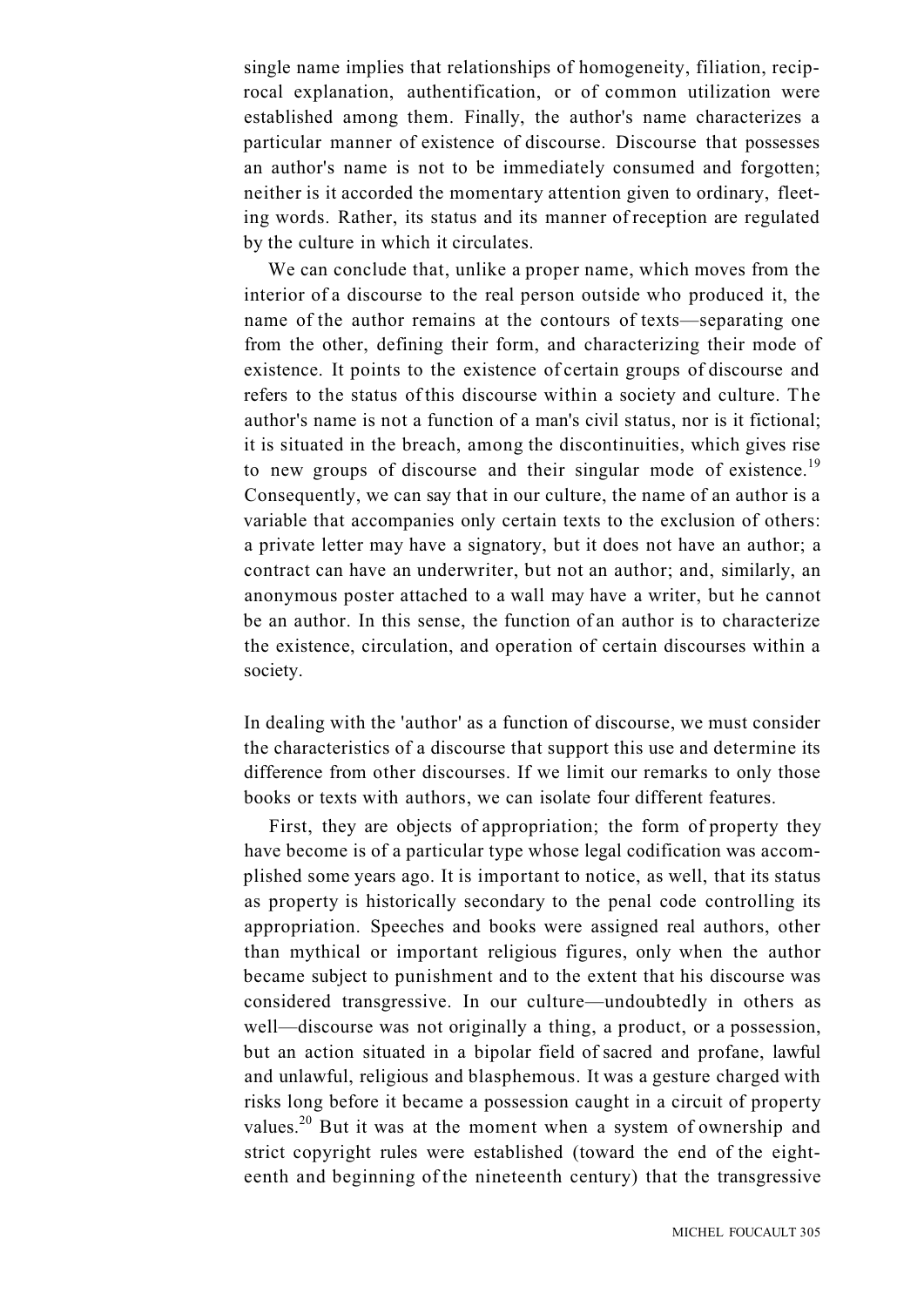single name implies that relationships of homogeneity, filiation, reciprocal explanation, authentification, or of common utilization were established among them. Finally, the author's name characterizes a particular manner of existence of discourse. Discourse that possesses an author's name is not to be immediately consumed and forgotten; neither is it accorded the momentary attention given to ordinary, fleeting words. Rather, its status and its manner of reception are regulated by the culture in which it circulates.

We can conclude that, unlike a proper name, which moves from the interior of a discourse to the real person outside who produced it, the name of the author remains at the contours of texts—separating one from the other, defining their form, and characterizing their mode of existence. It points to the existence of certain groups of discourse and refers to the status of this discourse within a society and culture. The author's name is not a function of a man's civil status, nor is it fictional; it is situated in the breach, among the discontinuities, which gives rise to new groups of discourse and their singular mode of existence.<sup>19</sup> Consequently, we can say that in our culture, the name of an author is a variable that accompanies only certain texts to the exclusion of others: a private letter may have a signatory, but it does not have an author; a contract can have an underwriter, but not an author; and, similarly, an anonymous poster attached to a wall may have a writer, but he cannot be an author. In this sense, the function of an author is to characterize the existence, circulation, and operation of certain discourses within a society.

In dealing with the 'author' as a function of discourse, we must consider the characteristics of a discourse that support this use and determine its difference from other discourses. If we limit our remarks to only those books or texts with authors, we can isolate four different features.

First, they are objects of appropriation; the form of property they have become is of a particular type whose legal codification was accomplished some years ago. It is important to notice, as well, that its status as property is historically secondary to the penal code controlling its appropriation. Speeches and books were assigned real authors, other than mythical or important religious figures, only when the author became subject to punishment and to the extent that his discourse was considered transgressive. In our culture—undoubtedly in others as well—discourse was not originally a thing, a product, or a possession, but an action situated in a bipolar field of sacred and profane, lawful and unlawful, religious and blasphemous. It was a gesture charged with risks long before it became a possession caught in a circuit of property values.<sup>20</sup> But it was at the moment when a system of ownership and strict copyright rules were established (toward the end of the eighteenth and beginning of the nineteenth century) that the transgressive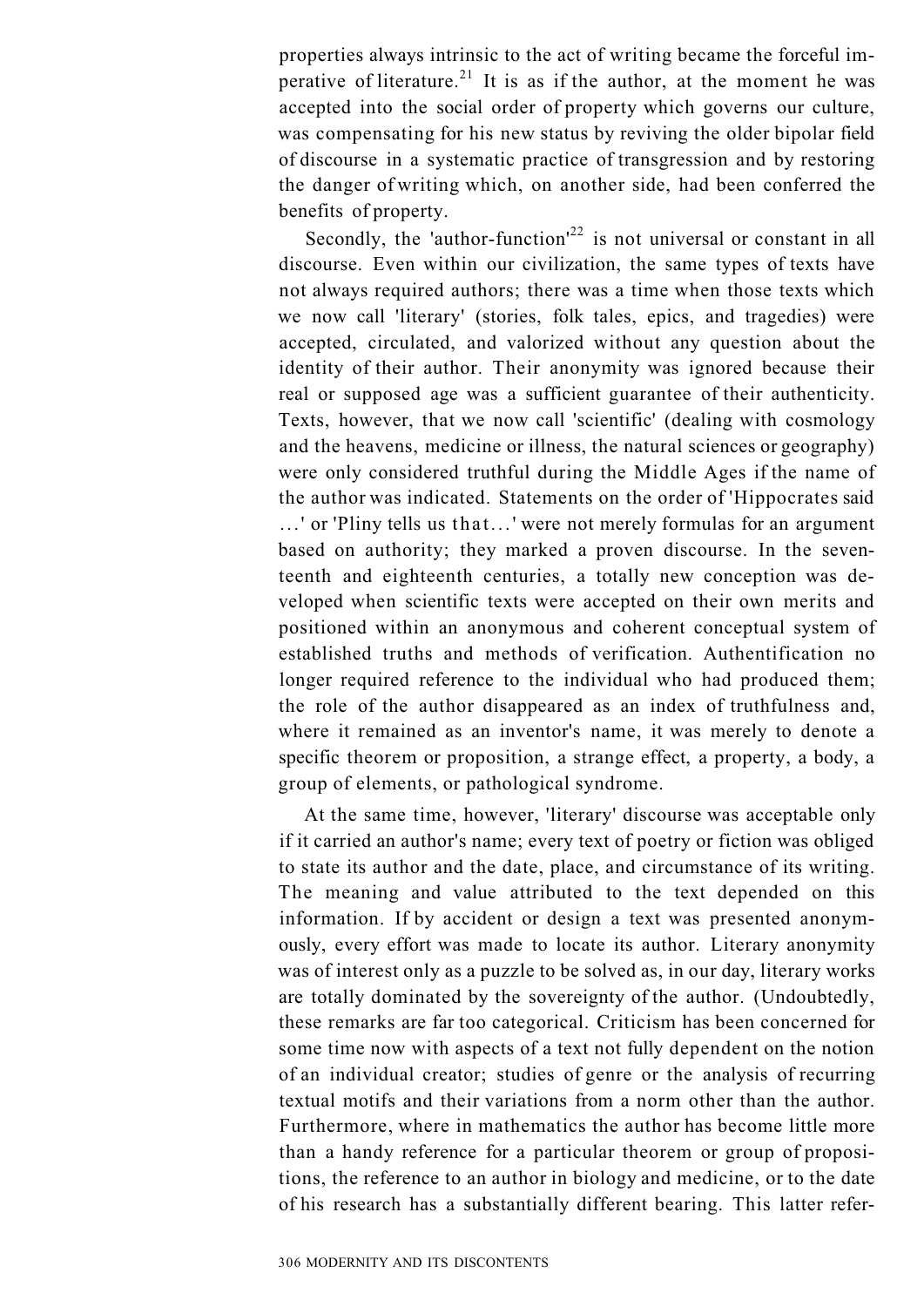properties always intrinsic to the act of writing became the forceful imperative of literature.<sup>21</sup> It is as if the author, at the moment he was accepted into the social order of property which governs our culture, was compensating for his new status by reviving the older bipolar field of discourse in a systematic practice of transgression and by restoring the danger of writing which, on another side, had been conferred the benefits of property.

Secondly, the 'author-function'<sup>22</sup> is not universal or constant in all discourse. Even within our civilization, the same types of texts have not always required authors; there was a time when those texts which we now call 'literary' (stories, folk tales, epics, and tragedies) were accepted, circulated, and valorized without any question about the identity of their author. Their anonymity was ignored because their real or supposed age was a sufficient guarantee of their authenticity. Texts, however, that we now call 'scientific' (dealing with cosmology and the heavens, medicine or illness, the natural sciences or geography) were only considered truthful during the Middle Ages if the name of the author was indicated. Statements on the order of 'Hippocrates said ...' or 'Pliny tells us that...' were not merely formulas for an argument based on authority; they marked a proven discourse. In the seventeenth and eighteenth centuries, a totally new conception was developed when scientific texts were accepted on their own merits and positioned within an anonymous and coherent conceptual system of established truths and methods of verification. Authentification no longer required reference to the individual who had produced them; the role of the author disappeared as an index of truthfulness and, where it remained as an inventor's name, it was merely to denote a specific theorem or proposition, a strange effect, a property, a body, a group of elements, or pathological syndrome.

At the same time, however, 'literary' discourse was acceptable only if it carried an author's name; every text of poetry or fiction was obliged to state its author and the date, place, and circumstance of its writing. The meaning and value attributed to the text depended on this information. If by accident or design a text was presented anonymously, every effort was made to locate its author. Literary anonymity was of interest only as a puzzle to be solved as, in our day, literary works are totally dominated by the sovereignty of the author. (Undoubtedly, these remarks are far too categorical. Criticism has been concerned for some time now with aspects of a text not fully dependent on the notion of an individual creator; studies of genre or the analysis of recurring textual motifs and their variations from a norm other than the author. Furthermore, where in mathematics the author has become little more than a handy reference for a particular theorem or group of propositions, the reference to an author in biology and medicine, or to the date of his research has a substantially different bearing. This latter refer-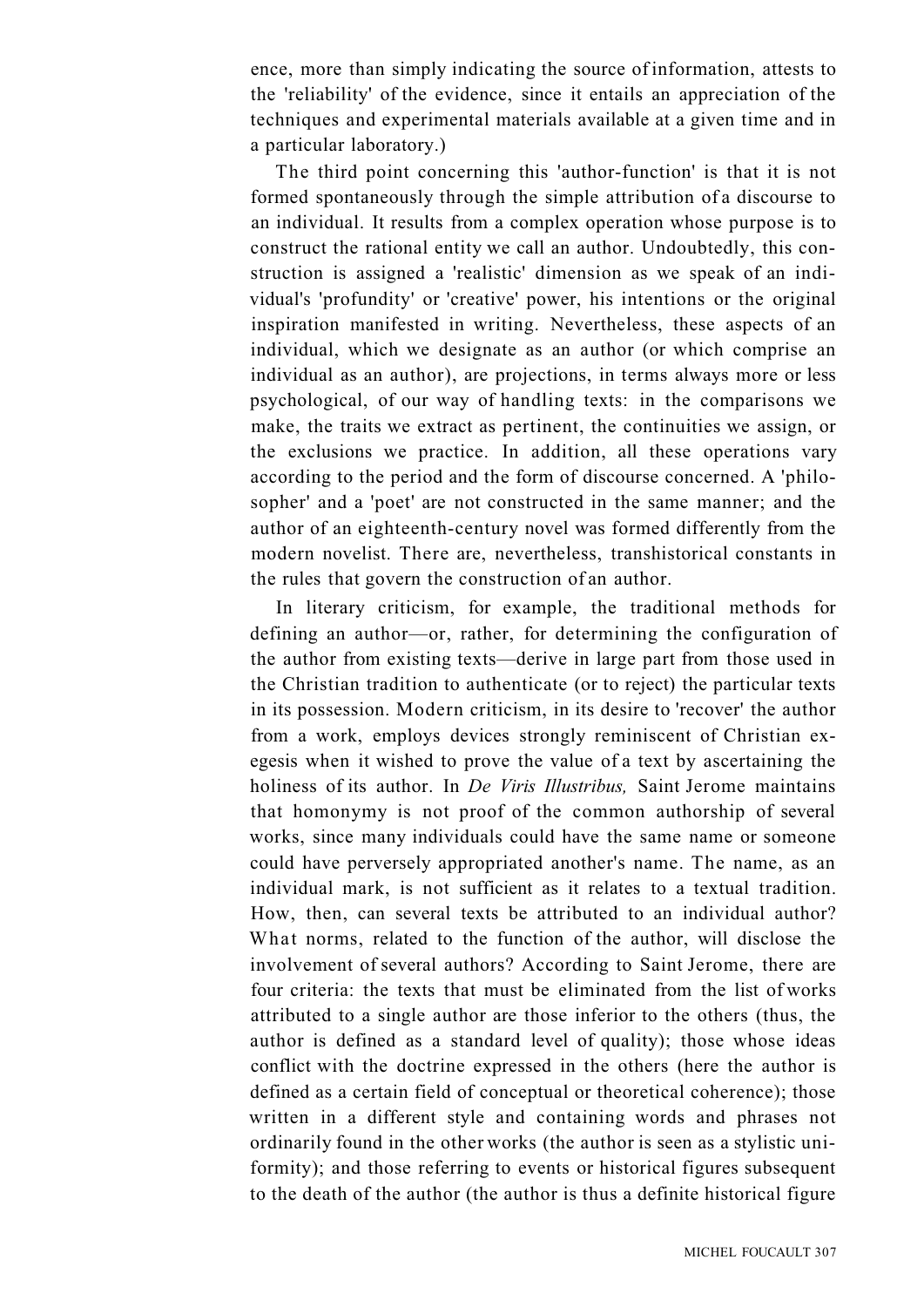ence, more than simply indicating the source of information, attests to the 'reliability' of the evidence, since it entails an appreciation of the techniques and experimental materials available at a given time and in a particular laboratory.)

The third point concerning this 'author-function' is that it is not formed spontaneously through the simple attribution of a discourse to an individual. It results from a complex operation whose purpose is to construct the rational entity we call an author. Undoubtedly, this construction is assigned a 'realistic' dimension as we speak of an individual's 'profundity' or 'creative' power, his intentions or the original inspiration manifested in writing. Nevertheless, these aspects of an individual, which we designate as an author (or which comprise an individual as an author), are projections, in terms always more or less psychological, of our way of handling texts: in the comparisons we make, the traits we extract as pertinent, the continuities we assign, or the exclusions we practice. In addition, all these operations vary according to the period and the form of discourse concerned. A 'philosopher' and a 'poet' are not constructed in the same manner; and the author of an eighteenth-century novel was formed differently from the modern novelist. There are, nevertheless, transhistorical constants in the rules that govern the construction of an author.

In literary criticism, for example, the traditional methods for defining an author—or, rather, for determining the configuration of the author from existing texts—derive in large part from those used in the Christian tradition to authenticate (or to reject) the particular texts in its possession. Modern criticism, in its desire to 'recover' the author from a work, employs devices strongly reminiscent of Christian exegesis when it wished to prove the value of a text by ascertaining the holiness of its author. In *De Viris Illustribus,* Saint Jerome maintains that homonymy is not proof of the common authorship of several works, since many individuals could have the same name or someone could have perversely appropriated another's name. The name, as an individual mark, is not sufficient as it relates to a textual tradition. How, then, can several texts be attributed to an individual author? What norms, related to the function of the author, will disclose the involvement of several authors? According to Saint Jerome, there are four criteria: the texts that must be eliminated from the list of works attributed to a single author are those inferior to the others (thus, the author is defined as a standard level of quality); those whose ideas conflict with the doctrine expressed in the others (here the author is defined as a certain field of conceptual or theoretical coherence); those written in a different style and containing words and phrases not ordinarily found in the other works (the author is seen as a stylistic uniformity); and those referring to events or historical figures subsequent to the death of the author (the author is thus a definite historical figure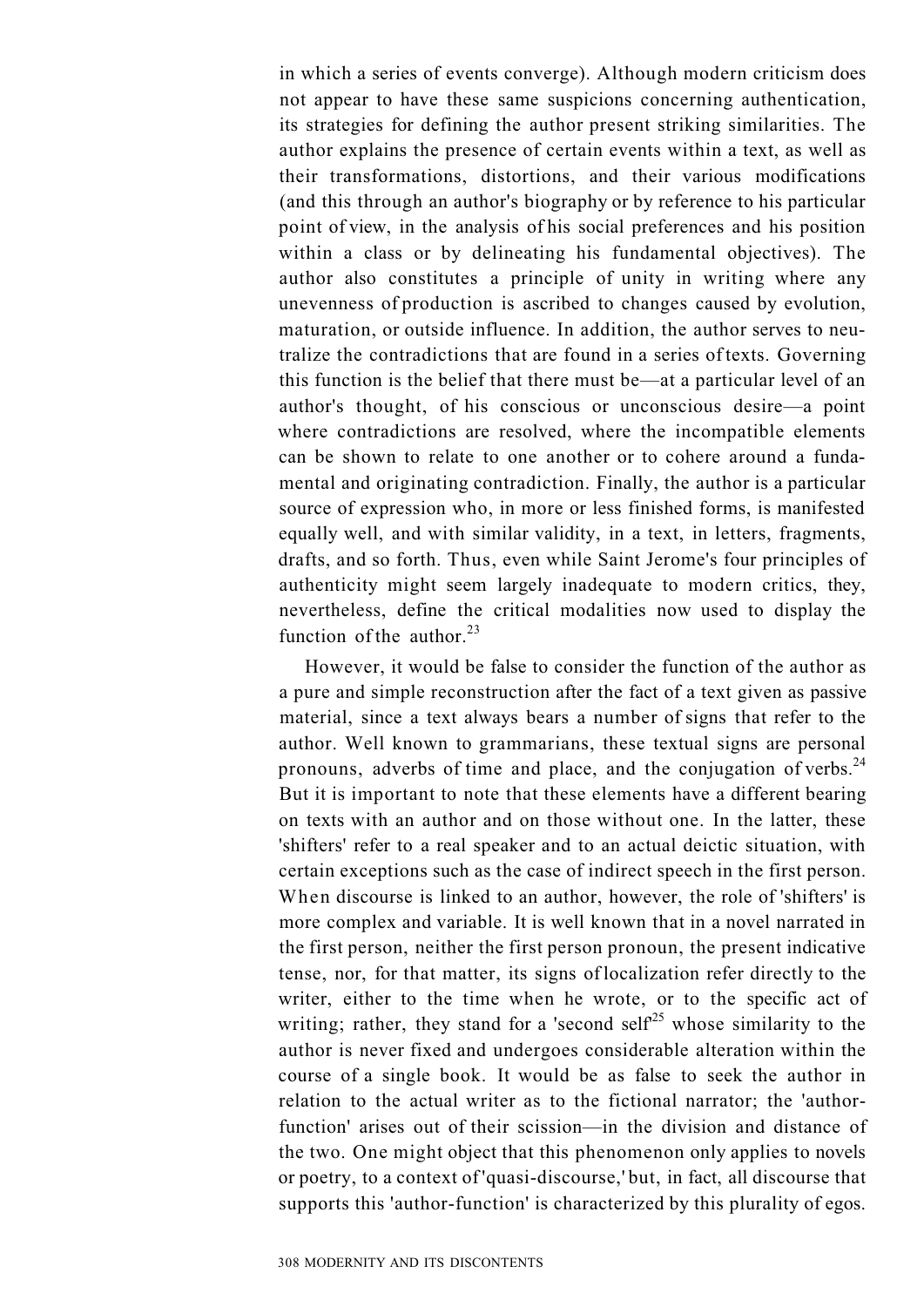in which a series of events converge). Although modern criticism does not appear to have these same suspicions concerning authentication, its strategies for defining the author present striking similarities. The author explains the presence of certain events within a text, as well as their transformations, distortions, and their various modifications (and this through an author's biography or by reference to his particular point of view, in the analysis of his social preferences and his position within a class or by delineating his fundamental objectives). The author also constitutes a principle of unity in writing where any unevenness of production is ascribed to changes caused by evolution, maturation, or outside influence. In addition, the author serves to neutralize the contradictions that are found in a series of texts. Governing this function is the belief that there must be—at a particular level of an author's thought, of his conscious or unconscious desire—a point where contradictions are resolved, where the incompatible elements can be shown to relate to one another or to cohere around a fundamental and originating contradiction. Finally, the author is a particular source of expression who, in more or less finished forms, is manifested equally well, and with similar validity, in a text, in letters, fragments, drafts, and so forth. Thus, even while Saint Jerome's four principles of authenticity might seem largely inadequate to modern critics, they, nevertheless, define the critical modalities now used to display the function of the author. $^{23}$ 

However, it would be false to consider the function of the author as a pure and simple reconstruction after the fact of a text given as passive material, since a text always bears a number of signs that refer to the author. Well known to grammarians, these textual signs are personal pronouns, adverbs of time and place, and the conjugation of verbs. $^{24}$ But it is important to note that these elements have a different bearing on texts with an author and on those without one. In the latter, these 'shifters' refer to a real speaker and to an actual deictic situation, with certain exceptions such as the case of indirect speech in the first person. When discourse is linked to an author, however, the role of 'shifters' is more complex and variable. It is well known that in a novel narrated in the first person, neither the first person pronoun, the present indicative tense, nor, for that matter, its signs of localization refer directly to the writer, either to the time when he wrote, or to the specific act of writing; rather, they stand for a 'second self<sup>25</sup> whose similarity to the author is never fixed and undergoes considerable alteration within the course of a single book. It would be as false to seek the author in relation to the actual writer as to the fictional narrator; the 'authorfunction' arises out of their scission—in the division and distance of the two. One might object that this phenomenon only applies to novels or poetry, to a context of 'quasi-discourse,' but, in fact, all discourse that supports this 'author-function' is characterized by this plurality of egos.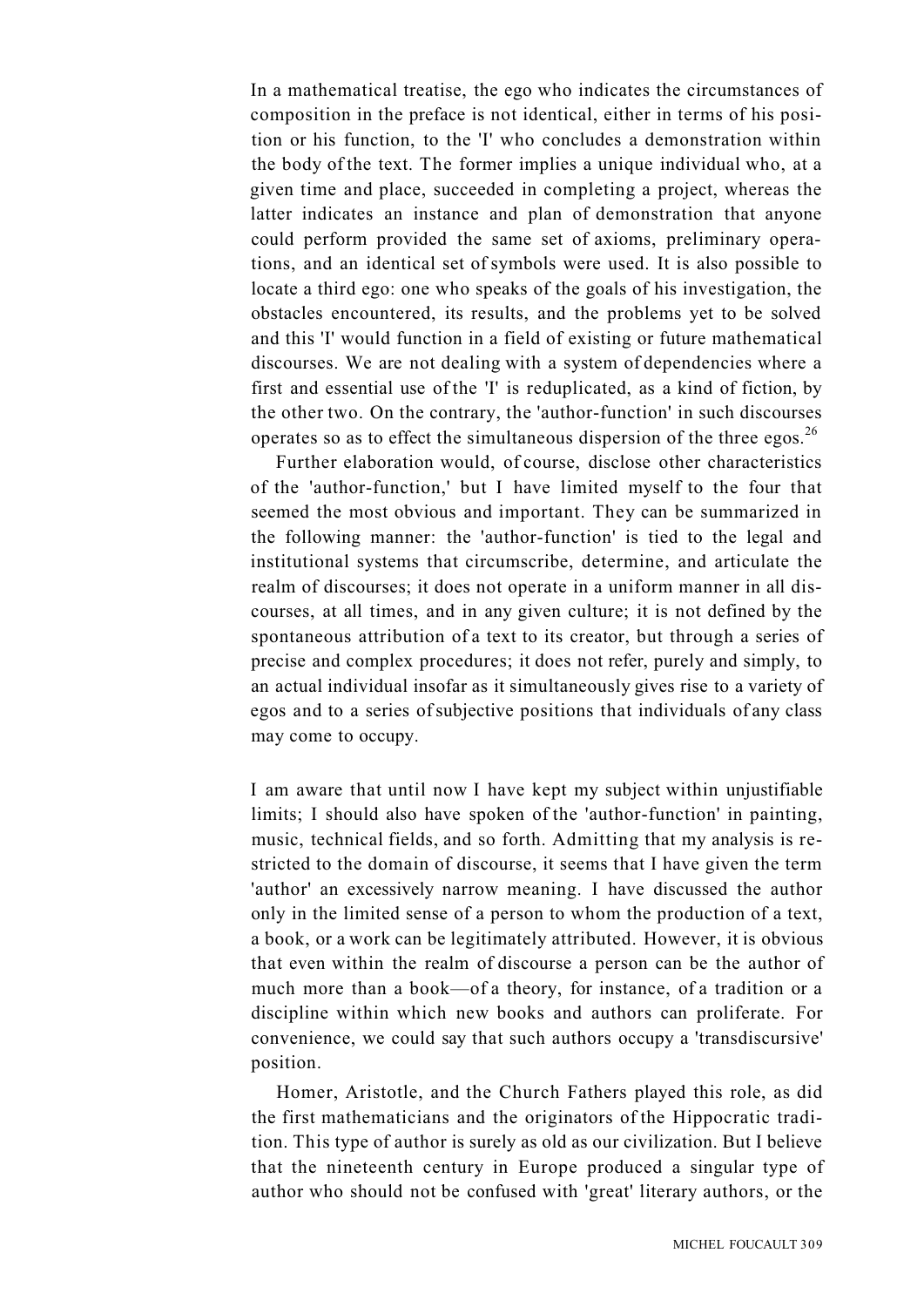In a mathematical treatise, the ego who indicates the circumstances of composition in the preface is not identical, either in terms of his position or his function, to the 'I' who concludes a demonstration within the body of the text. The former implies a unique individual who, at a given time and place, succeeded in completing a project, whereas the latter indicates an instance and plan of demonstration that anyone could perform provided the same set of axioms, preliminary operations, and an identical set of symbols were used. It is also possible to locate a third ego: one who speaks of the goals of his investigation, the obstacles encountered, its results, and the problems yet to be solved and this 'I' would function in a field of existing or future mathematical discourses. We are not dealing with a system of dependencies where a first and essential use of the 'I' is reduplicated, as a kind of fiction, by the other two. On the contrary, the 'author-function' in such discourses operates so as to effect the simultaneous dispersion of the three egos. $^{26}$ 

Further elaboration would, of course, disclose other characteristics of the 'author-function,' but I have limited myself to the four that seemed the most obvious and important. They can be summarized in the following manner: the 'author-function' is tied to the legal and institutional systems that circumscribe, determine, and articulate the realm of discourses; it does not operate in a uniform manner in all discourses, at all times, and in any given culture; it is not defined by the spontaneous attribution of a text to its creator, but through a series of precise and complex procedures; it does not refer, purely and simply, to an actual individual insofar as it simultaneously gives rise to a variety of egos and to a series of subjective positions that individuals of any class may come to occupy.

I am aware that until now I have kept my subject within unjustifiable limits; I should also have spoken of the 'author-function' in painting, music, technical fields, and so forth. Admitting that my analysis is restricted to the domain of discourse, it seems that I have given the term 'author' an excessively narrow meaning. I have discussed the author only in the limited sense of a person to whom the production of a text, a book, or a work can be legitimately attributed. However, it is obvious that even within the realm of discourse a person can be the author of much more than a book—of a theory, for instance, of a tradition or a discipline within which new books and authors can proliferate. For convenience, we could say that such authors occupy a 'transdiscursive' position.

Homer, Aristotle, and the Church Fathers played this role, as did the first mathematicians and the originators of the Hippocratic tradition. This type of author is surely as old as our civilization. But I believe that the nineteenth century in Europe produced a singular type of author who should not be confused with 'great' literary authors, or the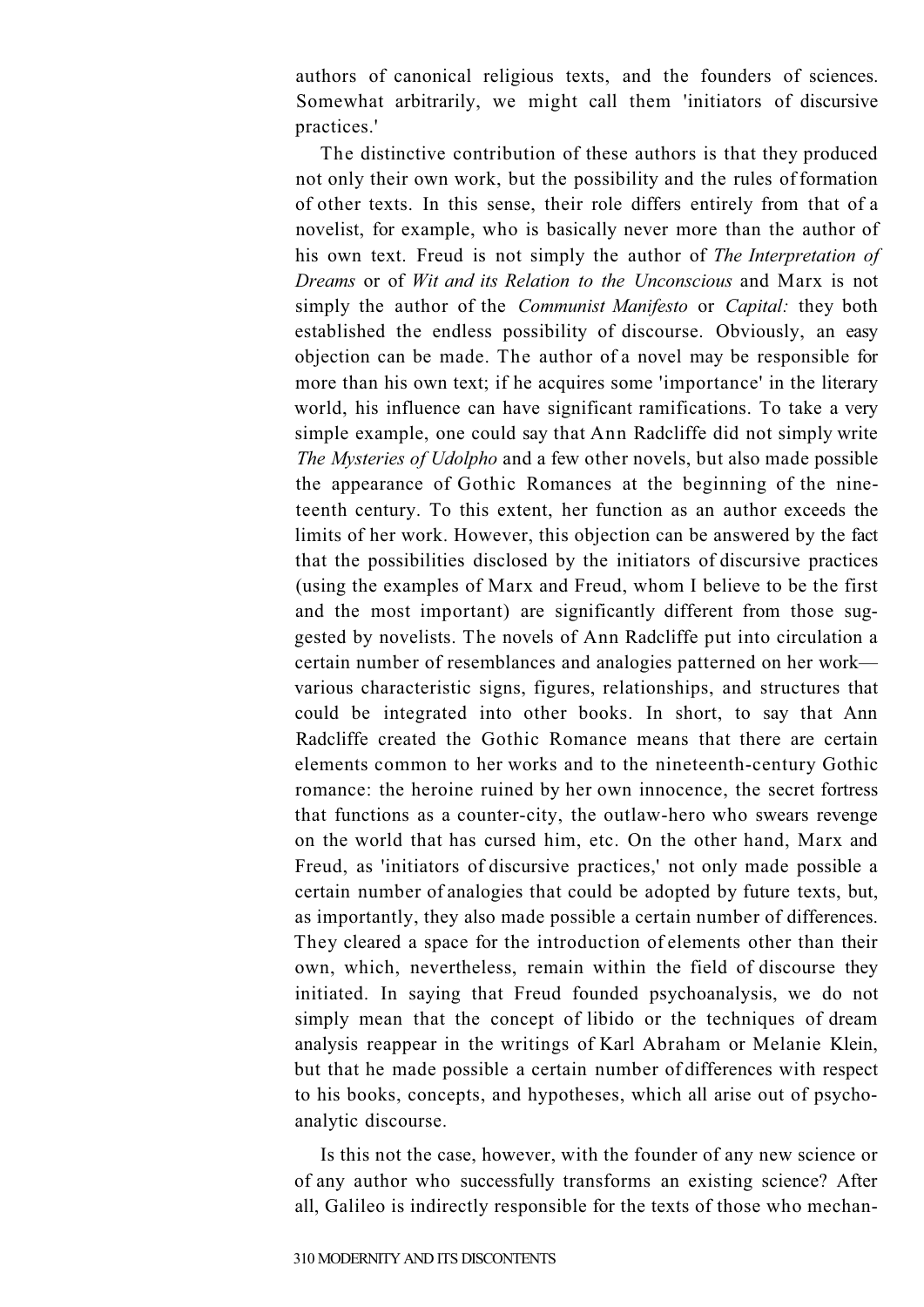authors of canonical religious texts, and the founders of sciences. Somewhat arbitrarily, we might call them 'initiators of discursive practices.'

The distinctive contribution of these authors is that they produced not only their own work, but the possibility and the rules of formation of other texts. In this sense, their role differs entirely from that of a novelist, for example, who is basically never more than the author of his own text. Freud is not simply the author of *The Interpretation of Dreams* or of *Wit and its Relation to the Unconscious* and Marx is not simply the author of the *Communist Manifesto* or *Capital:* they both established the endless possibility of discourse. Obviously, an easy objection can be made. The author of a novel may be responsible for more than his own text; if he acquires some 'importance' in the literary world, his influence can have significant ramifications. To take a very simple example, one could say that Ann Radcliffe did not simply write *The Mysteries of Udolpho* and a few other novels, but also made possible the appearance of Gothic Romances at the beginning of the nineteenth century. To this extent, her function as an author exceeds the limits of her work. However, this objection can be answered by the fact that the possibilities disclosed by the initiators of discursive practices (using the examples of Marx and Freud, whom I believe to be the first and the most important) are significantly different from those suggested by novelists. The novels of Ann Radcliffe put into circulation a certain number of resemblances and analogies patterned on her work various characteristic signs, figures, relationships, and structures that could be integrated into other books. In short, to say that Ann Radcliffe created the Gothic Romance means that there are certain elements common to her works and to the nineteenth-century Gothic romance: the heroine ruined by her own innocence, the secret fortress that functions as a counter-city, the outlaw-hero who swears revenge on the world that has cursed him, etc. On the other hand, Marx and Freud, as 'initiators of discursive practices,' not only made possible a certain number of analogies that could be adopted by future texts, but, as importantly, they also made possible a certain number of differences. They cleared a space for the introduction of elements other than their own, which, nevertheless, remain within the field of discourse they initiated. In saying that Freud founded psychoanalysis, we do not simply mean that the concept of libido or the techniques of dream analysis reappear in the writings of Karl Abraham or Melanie Klein, but that he made possible a certain number of differences with respect to his books, concepts, and hypotheses, which all arise out of psychoanalytic discourse.

Is this not the case, however, with the founder of any new science or of any author who successfully transforms an existing science? After all, Galileo is indirectly responsible for the texts of those who mechan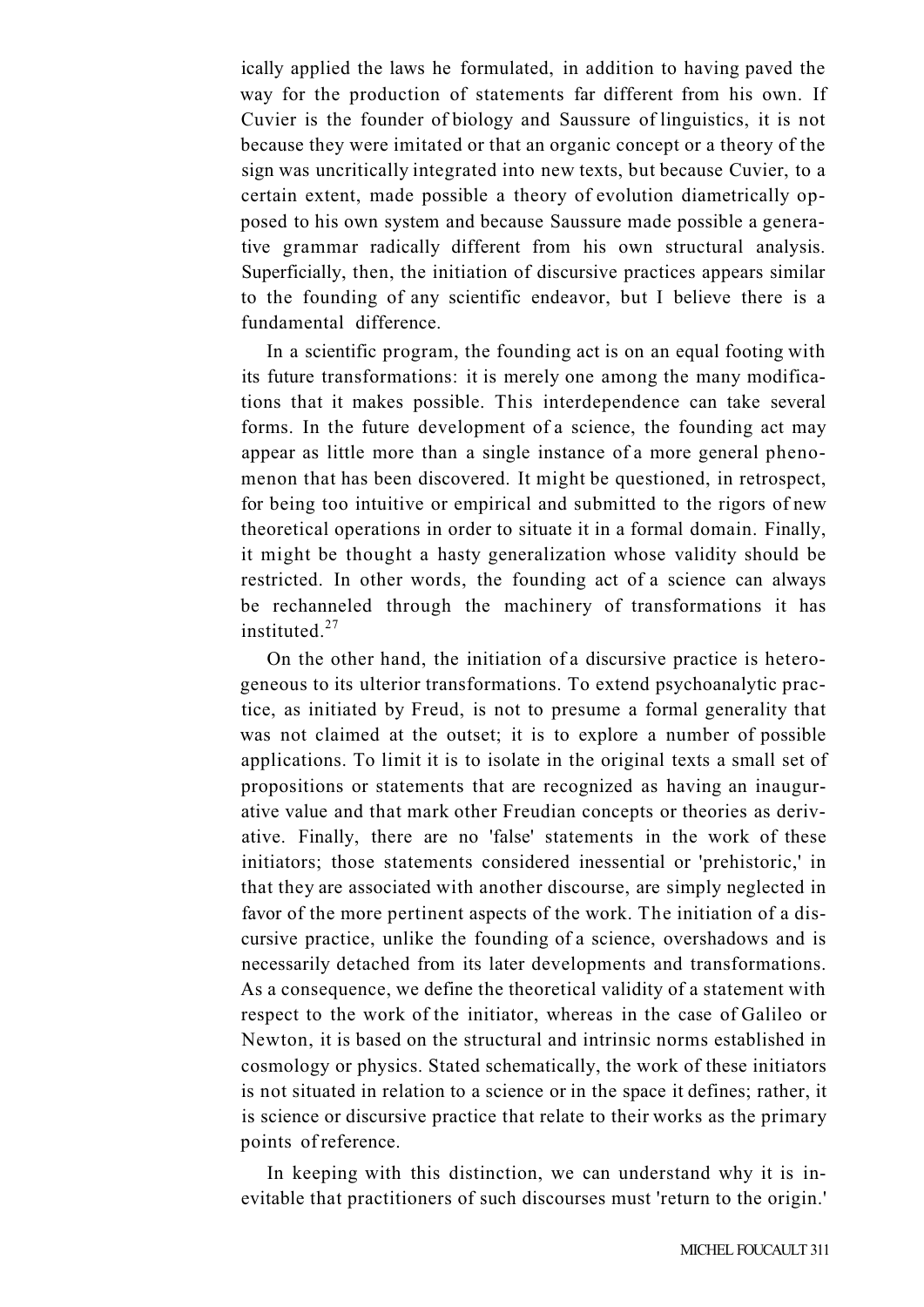ically applied the laws he formulated, in addition to having paved the way for the production of statements far different from his own. If Cuvier is the founder of biology and Saussure of linguistics, it is not because they were imitated or that an organic concept or a theory of the sign was uncritically integrated into new texts, but because Cuvier, to a certain extent, made possible a theory of evolution diametrically opposed to his own system and because Saussure made possible a generative grammar radically different from his own structural analysis. Superficially, then, the initiation of discursive practices appears similar to the founding of any scientific endeavor, but I believe there is a fundamental difference.

In a scientific program, the founding act is on an equal footing with its future transformations: it is merely one among the many modifications that it makes possible. This interdependence can take several forms. In the future development of a science, the founding act may appear as little more than a single instance of a more general phenomenon that has been discovered. It might be questioned, in retrospect, for being too intuitive or empirical and submitted to the rigors of new theoretical operations in order to situate it in a formal domain. Finally, it might be thought a hasty generalization whose validity should be restricted. In other words, the founding act of a science can always be rechanneled through the machinery of transformations it has instituted.<sup>27</sup>

On the other hand, the initiation of a discursive practice is heterogeneous to its ulterior transformations. To extend psychoanalytic practice, as initiated by Freud, is not to presume a formal generality that was not claimed at the outset; it is to explore a number of possible applications. To limit it is to isolate in the original texts a small set of propositions or statements that are recognized as having an inaugurative value and that mark other Freudian concepts or theories as derivative. Finally, there are no 'false' statements in the work of these initiators; those statements considered inessential or 'prehistoric,' in that they are associated with another discourse, are simply neglected in favor of the more pertinent aspects of the work. The initiation of a discursive practice, unlike the founding of a science, overshadows and is necessarily detached from its later developments and transformations. As a consequence, we define the theoretical validity of a statement with respect to the work of the initiator, whereas in the case of Galileo or Newton, it is based on the structural and intrinsic norms established in cosmology or physics. Stated schematically, the work of these initiators is not situated in relation to a science or in the space it defines; rather, it is science or discursive practice that relate to their works as the primary points of reference.

In keeping with this distinction, we can understand why it is inevitable that practitioners of such discourses must 'return to the origin.'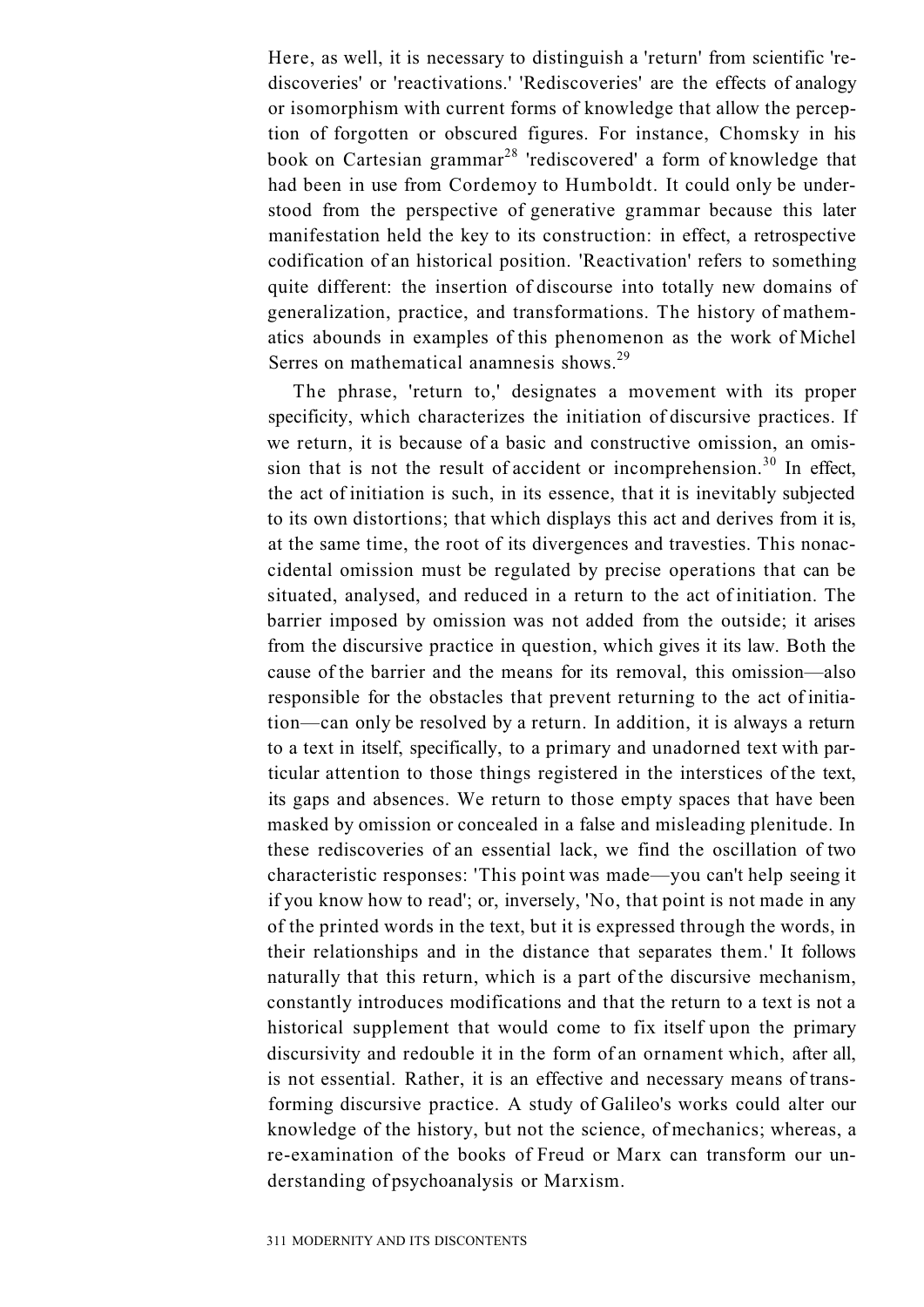Here, as well, it is necessary to distinguish a 'return' from scientific 'rediscoveries' or 'reactivations.' 'Rediscoveries' are the effects of analogy or isomorphism with current forms of knowledge that allow the perception of forgotten or obscured figures. For instance, Chomsky in his book on Cartesian grammar<sup>28</sup> 'rediscovered' a form of knowledge that had been in use from Cordemoy to Humboldt. It could only be understood from the perspective of generative grammar because this later manifestation held the key to its construction: in effect, a retrospective codification of an historical position. 'Reactivation' refers to something quite different: the insertion of discourse into totally new domains of generalization, practice, and transformations. The history of mathematics abounds in examples of this phenomenon as the work of Michel Serres on mathematical anamnesis shows.<sup>29</sup>

The phrase, 'return to,' designates a movement with its proper specificity, which characterizes the initiation of discursive practices. If we return, it is because of a basic and constructive omission, an omission that is not the result of accident or incomprehension.<sup>30</sup> In effect, the act of initiation is such, in its essence, that it is inevitably subjected to its own distortions; that which displays this act and derives from it is, at the same time, the root of its divergences and travesties. This nonaccidental omission must be regulated by precise operations that can be situated, analysed, and reduced in a return to the act of initiation. The barrier imposed by omission was not added from the outside; it arises from the discursive practice in question, which gives it its law. Both the cause of the barrier and the means for its removal, this omission—also responsible for the obstacles that prevent returning to the act of initiation—can only be resolved by a return. In addition, it is always a return to a text in itself, specifically, to a primary and unadorned text with particular attention to those things registered in the interstices of the text, its gaps and absences. We return to those empty spaces that have been masked by omission or concealed in a false and misleading plenitude. In these rediscoveries of an essential lack, we find the oscillation of two characteristic responses: 'This point was made—you can't help seeing it if you know how to read'; or, inversely, 'No, that point is not made in any of the printed words in the text, but it is expressed through the words, in their relationships and in the distance that separates them.' It follows naturally that this return, which is a part of the discursive mechanism, constantly introduces modifications and that the return to a text is not a historical supplement that would come to fix itself upon the primary discursivity and redouble it in the form of an ornament which, after all, is not essential. Rather, it is an effective and necessary means of transforming discursive practice. A study of Galileo's works could alter our knowledge of the history, but not the science, of mechanics; whereas, a re-examination of the books of Freud or Marx can transform our understanding of psychoanalysis or Marxism.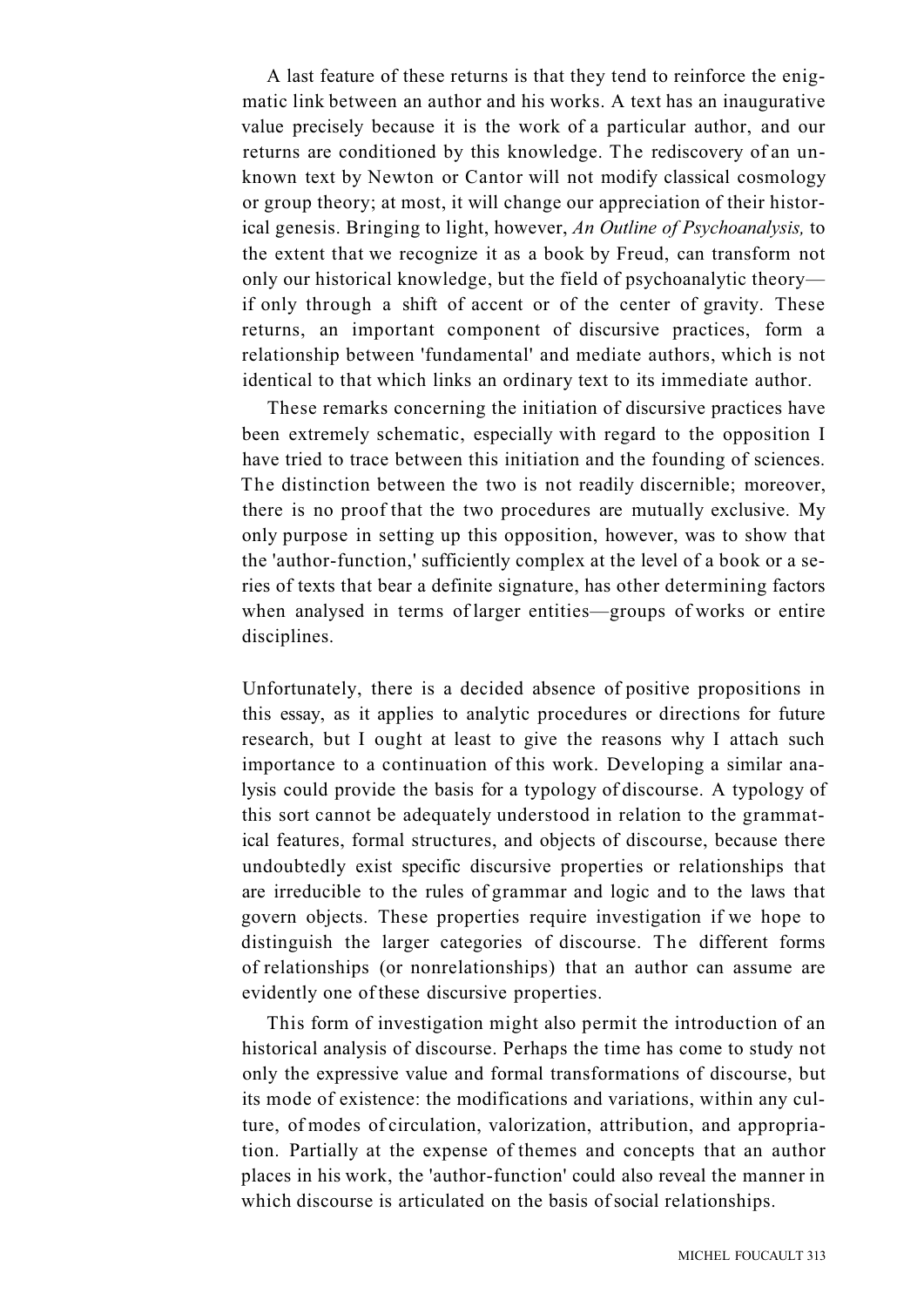A last feature of these returns is that they tend to reinforce the enigmatic link between an author and his works. A text has an inaugurative value precisely because it is the work of a particular author, and our returns are conditioned by this knowledge. The rediscovery of an unknown text by Newton or Cantor will not modify classical cosmology or group theory; at most, it will change our appreciation of their historical genesis. Bringing to light, however, *An Outline of Psychoanalysis,* to the extent that we recognize it as a book by Freud, can transform not only our historical knowledge, but the field of psychoanalytic theory if only through a shift of accent or of the center of gravity. These returns, an important component of discursive practices, form a relationship between 'fundamental' and mediate authors, which is not identical to that which links an ordinary text to its immediate author.

These remarks concerning the initiation of discursive practices have been extremely schematic, especially with regard to the opposition I have tried to trace between this initiation and the founding of sciences. The distinction between the two is not readily discernible; moreover, there is no proof that the two procedures are mutually exclusive. My only purpose in setting up this opposition, however, was to show that the 'author-function,' sufficiently complex at the level of a book or a series of texts that bear a definite signature, has other determining factors when analysed in terms of larger entities—groups of works or entire disciplines.

Unfortunately, there is a decided absence of positive propositions in this essay, as it applies to analytic procedures or directions for future research, but I ought at least to give the reasons why I attach such importance to a continuation of this work. Developing a similar analysis could provide the basis for a typology of discourse. A typology of this sort cannot be adequately understood in relation to the grammatical features, formal structures, and objects of discourse, because there undoubtedly exist specific discursive properties or relationships that are irreducible to the rules of grammar and logic and to the laws that govern objects. These properties require investigation if we hope to distinguish the larger categories of discourse. The different forms of relationships (or nonrelationships) that an author can assume are evidently one of these discursive properties.

This form of investigation might also permit the introduction of an historical analysis of discourse. Perhaps the time has come to study not only the expressive value and formal transformations of discourse, but its mode of existence: the modifications and variations, within any culture, of modes of circulation, valorization, attribution, and appropriation. Partially at the expense of themes and concepts that an author places in his work, the 'author-function' could also reveal the manner in which discourse is articulated on the basis of social relationships.